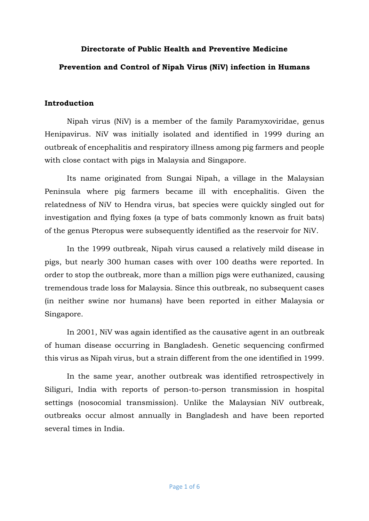## **Directorate of Public Health and Preventive Medicine**

### **Prevention and Control of Nipah Virus (NiV) infection in Humans**

### **Introduction**

Nipah virus (NiV) is a member of the family Paramyxoviridae, genus Henipavirus. NiV was initially isolated and identified in 1999 during an outbreak of encephalitis and respiratory illness among pig farmers and people with close contact with pigs in Malaysia and Singapore.

Its name originated from Sungai Nipah, a village in the Malaysian Peninsula where pig farmers became ill with encephalitis. Given the relatedness of NiV to Hendra virus, bat species were quickly singled out for investigation and flying foxes (a type of bats commonly known as fruit bats) of the genus Pteropus were subsequently identified as the reservoir for NiV.

In the 1999 outbreak, Nipah virus caused a relatively mild disease in pigs, but nearly 300 human cases with over 100 deaths were reported. In order to stop the outbreak, more than a million pigs were euthanized, causing tremendous trade loss for Malaysia. Since this outbreak, no subsequent cases (in neither swine nor humans) have been reported in either Malaysia or Singapore.

In 2001, NiV was again identified as the causative agent in an outbreak of human disease occurring in Bangladesh. Genetic sequencing confirmed this virus as Nipah virus, but a strain different from the one identified in 1999.

In the same year, another outbreak was identified retrospectively in Siliguri, India with reports of person-to-person transmission in hospital settings (nosocomial transmission). Unlike the Malaysian NiV outbreak, outbreaks occur almost annually in Bangladesh and have been reported several times in India.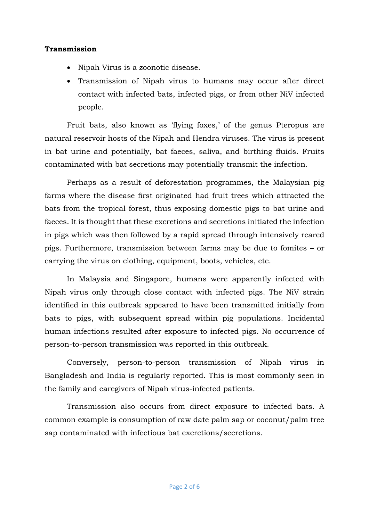### **Transmission**

- Nipah Virus is a zoonotic disease.
- Transmission of Nipah virus to humans may occur after direct contact with infected bats, infected pigs, or from other NiV infected people.

Fruit bats, also known as 'flying foxes,' of the genus Pteropus are natural reservoir hosts of the Nipah and Hendra viruses. The virus is present in bat urine and potentially, bat faeces, saliva, and birthing fluids. Fruits contaminated with bat secretions may potentially transmit the infection.

Perhaps as a result of deforestation programmes, the Malaysian pig farms where the disease first originated had fruit trees which attracted the bats from the tropical forest, thus exposing domestic pigs to bat urine and faeces. It is thought that these excretions and secretions initiated the infection in pigs which was then followed by a rapid spread through intensively reared pigs. Furthermore, transmission between farms may be due to fomites – or carrying the virus on clothing, equipment, boots, vehicles, etc.

In Malaysia and Singapore, humans were apparently infected with Nipah virus only through close contact with infected pigs. The NiV strain identified in this outbreak appeared to have been transmitted initially from bats to pigs, with subsequent spread within pig populations. Incidental human infections resulted after exposure to infected pigs. No occurrence of person-to-person transmission was reported in this outbreak.

Conversely, person-to-person transmission of Nipah virus in Bangladesh and India is regularly reported. This is most commonly seen in the family and caregivers of Nipah virus-infected patients.

Transmission also occurs from direct exposure to infected bats. A common example is consumption of raw date palm sap or coconut/palm tree sap contaminated with infectious bat excretions/secretions.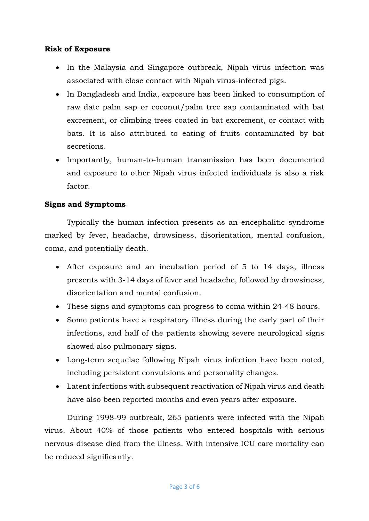## **Risk of Exposure**

- In the Malaysia and Singapore outbreak, Nipah virus infection was associated with close contact with Nipah virus-infected pigs.
- In Bangladesh and India, exposure has been linked to consumption of raw date palm sap or coconut/palm tree sap contaminated with bat excrement, or climbing trees coated in bat excrement, or contact with bats. It is also attributed to eating of fruits contaminated by bat secretions.
- Importantly, human-to-human transmission has been documented and exposure to other Nipah virus infected individuals is also a risk factor.

### **Signs and Symptoms**

Typically the human infection presents as an encephalitic syndrome marked by fever, headache, drowsiness, disorientation, mental confusion, coma, and potentially death.

- After exposure and an incubation period of 5 to 14 days, illness presents with 3-14 days of fever and headache, followed by drowsiness, disorientation and mental confusion.
- These signs and symptoms can progress to coma within 24-48 hours.
- Some patients have a respiratory illness during the early part of their infections, and half of the patients showing severe neurological signs showed also pulmonary signs.
- Long-term sequelae following Nipah virus infection have been noted, including persistent convulsions and personality changes.
- Latent infections with subsequent reactivation of Nipah virus and death have also been reported months and even years after exposure.

During 1998-99 outbreak, 265 patients were infected with the Nipah virus. About 40% of those patients who entered hospitals with serious nervous disease died from the illness. With intensive ICU care mortality can be reduced significantly.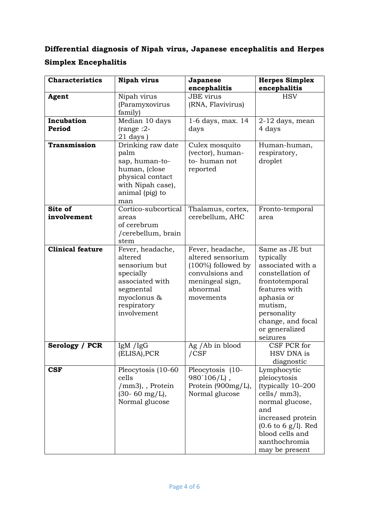# **Differential diagnosis of Nipah virus, Japanese encephalitis and Herpes Simplex Encephalitis**

| <b>Characteristics</b>  | <b>Nipah virus</b>                                                                                                                     | Japanese<br>encephalitis                                                                                                      | <b>Herpes Simplex</b><br>encephalitis                                                                                                                                                                               |
|-------------------------|----------------------------------------------------------------------------------------------------------------------------------------|-------------------------------------------------------------------------------------------------------------------------------|---------------------------------------------------------------------------------------------------------------------------------------------------------------------------------------------------------------------|
| Agent                   | Nipah virus<br>(Paramyxovirus<br>family)                                                                                               | <b>JBE</b> virus<br>(RNA, Flavivirus)                                                                                         | <b>HSV</b>                                                                                                                                                                                                          |
| Incubation<br>Period    | Median 10 days<br>$(range:2-$<br>$21$ days)                                                                                            | 1-6 days, max. 14<br>days                                                                                                     | $2-12$ days, mean<br>4 days                                                                                                                                                                                         |
| Transmission            | Drinking raw date<br>palm<br>sap, human-to-<br>human, (close<br>physical contact<br>with Nipah case),<br>animal (pig) to<br>man        | Culex mosquito<br>(vector), human-<br>to-human not<br>reported                                                                | Human-human,<br>respiratory,<br>droplet                                                                                                                                                                             |
| Site of<br>involvement  | Cortico-subcortical<br>areas<br>of cerebrum<br>/cerebellum, brain<br>stem                                                              | Thalamus, cortex,<br>cerebellum, AHC                                                                                          | Fronto-temporal<br>area                                                                                                                                                                                             |
| <b>Clinical feature</b> | Fever, headache,<br>altered<br>sensorium but<br>specially<br>associated with<br>segmental<br>myoclonus &<br>respiratory<br>involvement | Fever, headache,<br>altered sensorium<br>$(100\%)$ followed by<br>convulsions and<br>meningeal sign,<br>abnormal<br>movements | Same as JE but<br>typically<br>associated with a<br>constellation of<br>frontotemporal<br>features with<br>aphasia or<br>mutism,<br>personality<br>change, and focal<br>or generalized<br>seizures                  |
| Serology / PCR          | IgM $\frac{1}{\text{gg}}$<br>(ELISA), PCR                                                                                              | Ag / Ab in blood<br>$/$ $CSF$                                                                                                 | CSF PCR for<br>HSV DNA is<br>diagnostic                                                                                                                                                                             |
| CSF                     | Pleocytosis (10-60<br>cells<br>/mm3), , Protein<br>$(30 - 60 \text{ mg/L}),$<br>Normal glucose                                         | Pleocytosis (10-<br>$980'106/L$ ,<br>Protein (900mg/L),<br>Normal glucose                                                     | Lymphocytic<br>pleiocytosis<br>(typically 10-200<br>cells/ $mm3$ ),<br>normal glucose,<br>and<br>increased protein<br>$(0.6 \text{ to } 6 \text{ g/l})$ . Red<br>blood cells and<br>xanthochromia<br>may be present |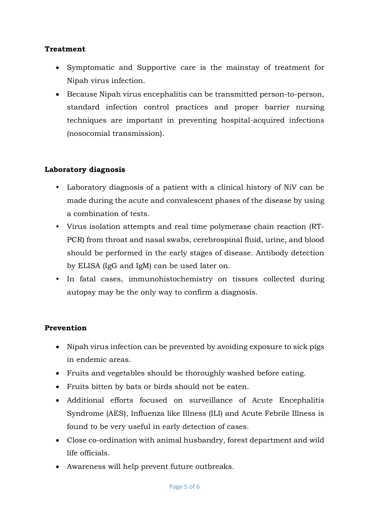# **Treatment**

- Symptomatic and Supportive care is the mainstay of treatment for Nipah virus infection.
- Because Nipah virus encephalitis can be transmitted person-to-person, standard infection control practices and proper barrier nursing techniques are important in preventing hospital-acquired infections (nosocomial transmission).

# **Laboratory diagnosis**

- Laboratory diagnosis of a patient with a clinical history of NiV can be made during the acute and convalescent phases of the disease by using a combination of tests.
- Virus isolation attempts and real time polymerase chain reaction (RT-PCR) from throat and nasal swabs, cerebrospinal fluid, urine, and blood should be performed in the early stages of disease. Antibody detection by ELISA (IgG and IgM) can be used later on.
- In fatal cases, immunohistochemistry on tissues collected during autopsy may be the only way to confirm a diagnosis.

## **Prevention**

- Nipah virus infection can be prevented by avoiding exposure to sick pigs in endemic areas.
- Fruits and vegetables should be thoroughly washed before eating.
- Fruits bitten by bats or birds should not be eaten.
- Additional efforts focused on surveillance of Acute Encephalitis Syndrome (AES), Influenza like Illness (ILI) and Acute Febrile Illness is found to be very useful in early detection of cases.
- Close co-ordination with animal husbandry, forest department and wild life officials.
- Awareness will help prevent future outbreaks.